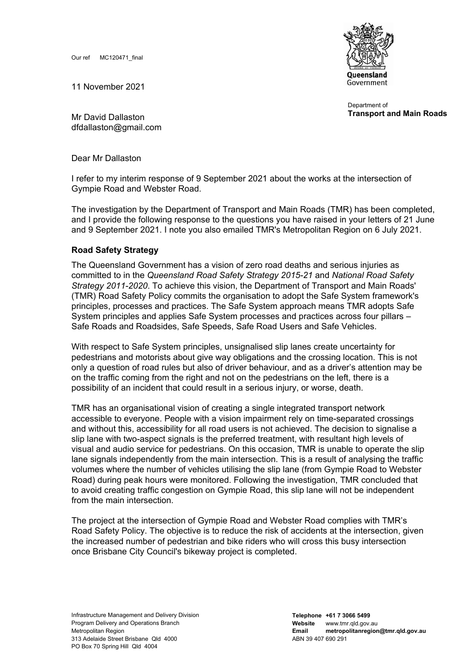Our ref MC120471\_final

11 November 2021

**Oueensland** Government

Department of **Transport and Main Roads**

Mr David Dallaston dfdallaston@gmail.com

Dear Mr Dallaston

I refer to my interim response of 9 September 2021 about the works at the intersection of Gympie Road and Webster Road.

The investigation by the Department of Transport and Main Roads (TMR) has been completed, and I provide the following response to the questions you have raised in your letters of 21 June and 9 September 2021. I note you also emailed TMR's Metropolitan Region on 6 July 2021.

## **Road Safety Strategy**

The Queensland Government has a vision of zero road deaths and serious injuries as committed to in the *Queensland Road Safety Strategy 2015-21* and *National Road Safety Strategy 2011-2020*. To achieve this vision, the Department of Transport and Main Roads' (TMR) Road Safety Policy commits the organisation to adopt the Safe System framework's principles, processes and practices. The Safe System approach means TMR adopts Safe System principles and applies Safe System processes and practices across four pillars – Safe Roads and Roadsides, Safe Speeds, Safe Road Users and Safe Vehicles.

With respect to Safe System principles, unsignalised slip lanes create uncertainty for pedestrians and motorists about give way obligations and the crossing location. This is not only a question of road rules but also of driver behaviour, and as a driver's attention may be on the traffic coming from the right and not on the pedestrians on the left, there is a possibility of an incident that could result in a serious injury, or worse, death.

TMR has an organisational vision of creating a single integrated transport network accessible to everyone. People with a vision impairment rely on time-separated crossings and without this, accessibility for all road users is not achieved. The decision to signalise a slip lane with two-aspect signals is the preferred treatment, with resultant high levels of visual and audio service for pedestrians. On this occasion, TMR is unable to operate the slip lane signals independently from the main intersection. This is a result of analysing the traffic volumes where the number of vehicles utilising the slip lane (from Gympie Road to Webster Road) during peak hours were monitored. Following the investigation, TMR concluded that to avoid creating traffic congestion on Gympie Road, this slip lane will not be independent from the main intersection.

The project at the intersection of Gympie Road and Webster Road complies with TMR's Road Safety Policy. The objective is to reduce the risk of accidents at the intersection, given the increased number of pedestrian and bike riders who will cross this busy intersection once Brisbane City Council's bikeway project is completed.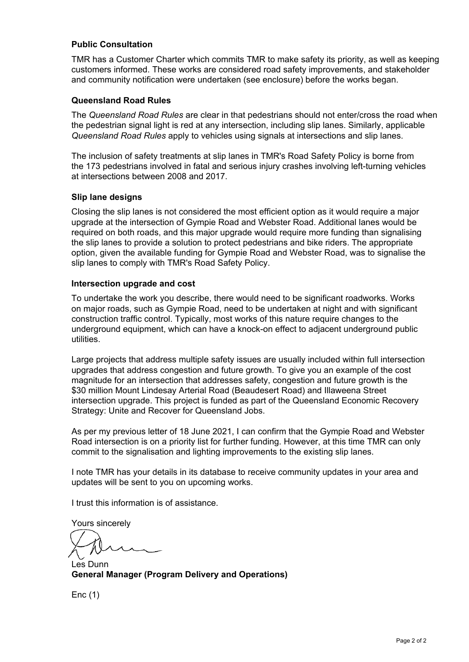## **Public Consultation**

TMR has a Customer Charter which commits TMR to make safety its priority, as well as keeping customers informed. These works are considered road safety improvements, and stakeholder and community notification were undertaken (see enclosure) before the works began.

## **Queensland Road Rules**

The *Queensland Road Rules* are clear in that pedestrians should not enter/cross the road when the pedestrian signal light is red at any intersection, including slip lanes. Similarly, applicable *Queensland Road Rules* apply to vehicles using signals at intersections and slip lanes.

The inclusion of safety treatments at slip lanes in TMR's Road Safety Policy is borne from the 173 pedestrians involved in fatal and serious injury crashes involving left-turning vehicles at intersections between 2008 and 2017.

#### **Slip lane designs**

Closing the slip lanes is not considered the most efficient option as it would require a major upgrade at the intersection of Gympie Road and Webster Road. Additional lanes would be required on both roads, and this major upgrade would require more funding than signalising the slip lanes to provide a solution to protect pedestrians and bike riders. The appropriate option, given the available funding for Gympie Road and Webster Road, was to signalise the slip lanes to comply with TMR's Road Safety Policy.

#### **Intersection upgrade and cost**

To undertake the work you describe, there would need to be significant roadworks. Works on major roads, such as Gympie Road, need to be undertaken at night and with significant construction traffic control. Typically, most works of this nature require changes to the underground equipment, which can have a knock-on effect to adjacent underground public utilities.

Large projects that address multiple safety issues are usually included within full intersection upgrades that address congestion and future growth. To give you an example of the cost magnitude for an intersection that addresses safety, congestion and future growth is the \$30 million Mount Lindesay Arterial Road (Beaudesert Road) and Illaweena Street intersection upgrade. This project is funded as part of the Queensland Economic Recovery Strategy: Unite and Recover for Queensland Jobs.

As per my previous letter of 18 June 2021, I can confirm that the Gympie Road and Webster Road intersection is on a priority list for further funding. However, at this time TMR can only commit to the signalisation and lighting improvements to the existing slip lanes.

I note TMR has your details in its database to receive community updates in your area and updates will be sent to you on upcoming works.

I trust this information is of assistance.

Yours sincerely

Les Dunn **General Manager (Program Delivery and Operations)**

Enc (1)